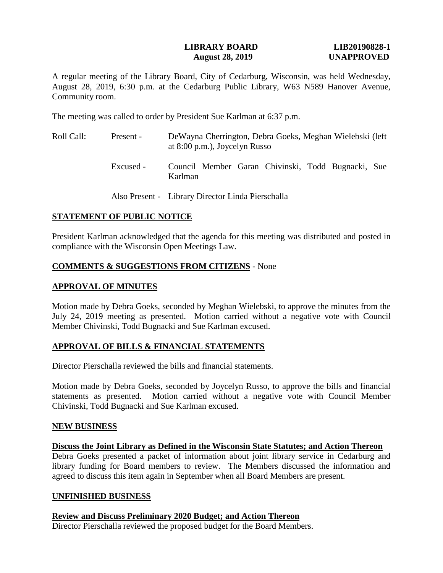## **LIBRARY BOARD LIB20190828-1 August 28, 2019 UNAPPROVED**

A regular meeting of the Library Board, City of Cedarburg, Wisconsin, was held Wednesday, August 28, 2019, 6:30 p.m. at the Cedarburg Public Library, W63 N589 Hanover Avenue, Community room.

The meeting was called to order by President Sue Karlman at 6:37 p.m.

| Roll Call: | Present - | DeWayna Cherrington, Debra Goeks, Meghan Wielebski (left<br>at $8:00$ p.m.), Joycelyn Russo |
|------------|-----------|---------------------------------------------------------------------------------------------|
|            | Excused - | Council Member Garan Chivinski, Todd Bugnacki, Sue<br>Karlman                               |
|            |           | Also Present - Library Director Linda Pierschalla                                           |

## **STATEMENT OF PUBLIC NOTICE**

President Karlman acknowledged that the agenda for this meeting was distributed and posted in compliance with the Wisconsin Open Meetings Law.

# **COMMENTS & SUGGESTIONS FROM CITIZENS** - None

# **APPROVAL OF MINUTES**

Motion made by Debra Goeks, seconded by Meghan Wielebski, to approve the minutes from the July 24, 2019 meeting as presented. Motion carried without a negative vote with Council Member Chivinski, Todd Bugnacki and Sue Karlman excused.

## **APPROVAL OF BILLS & FINANCIAL STATEMENTS**

Director Pierschalla reviewed the bills and financial statements.

Motion made by Debra Goeks, seconded by Joycelyn Russo, to approve the bills and financial statements as presented. Motion carried without a negative vote with Council Member Chivinski, Todd Bugnacki and Sue Karlman excused.

#### **NEW BUSINESS**

## **Discuss the Joint Library as Defined in the Wisconsin State Statutes; and Action Thereon**

Debra Goeks presented a packet of information about joint library service in Cedarburg and library funding for Board members to review. The Members discussed the information and agreed to discuss this item again in September when all Board Members are present.

## **UNFINISHED BUSINESS**

**Review and Discuss Preliminary 2020 Budget; and Action Thereon**

Director Pierschalla reviewed the proposed budget for the Board Members.